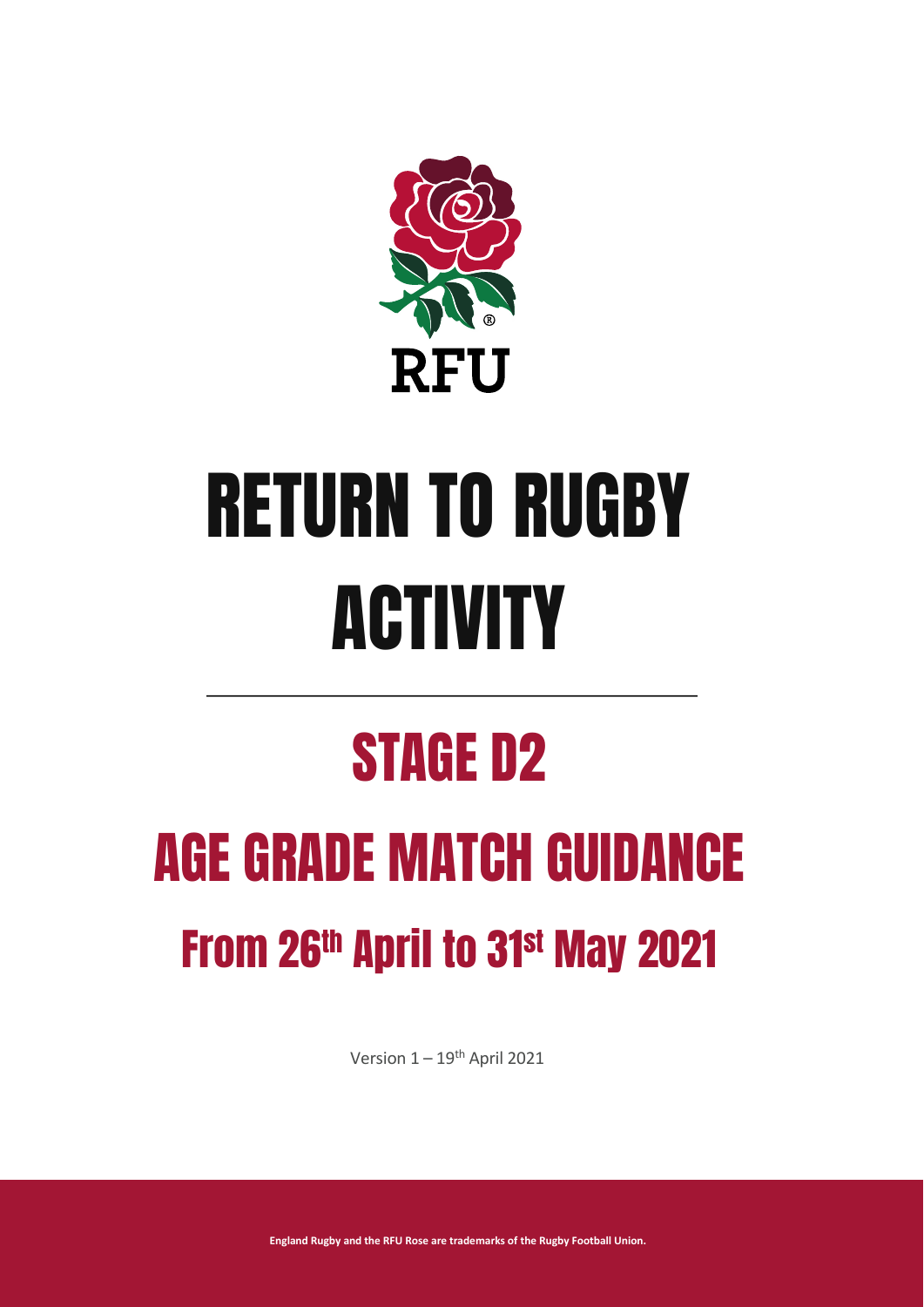

# RETURN TO RUGBY ACTIVITY

## STAGE D2

## AGE GRADE MATCH GUIDANCE From 26th April to 31st May 2021

Version  $1 - 19$ <sup>th</sup> April 2021

**England Rugby and the RFU Rose are trademarks of the Rugby Football Union.**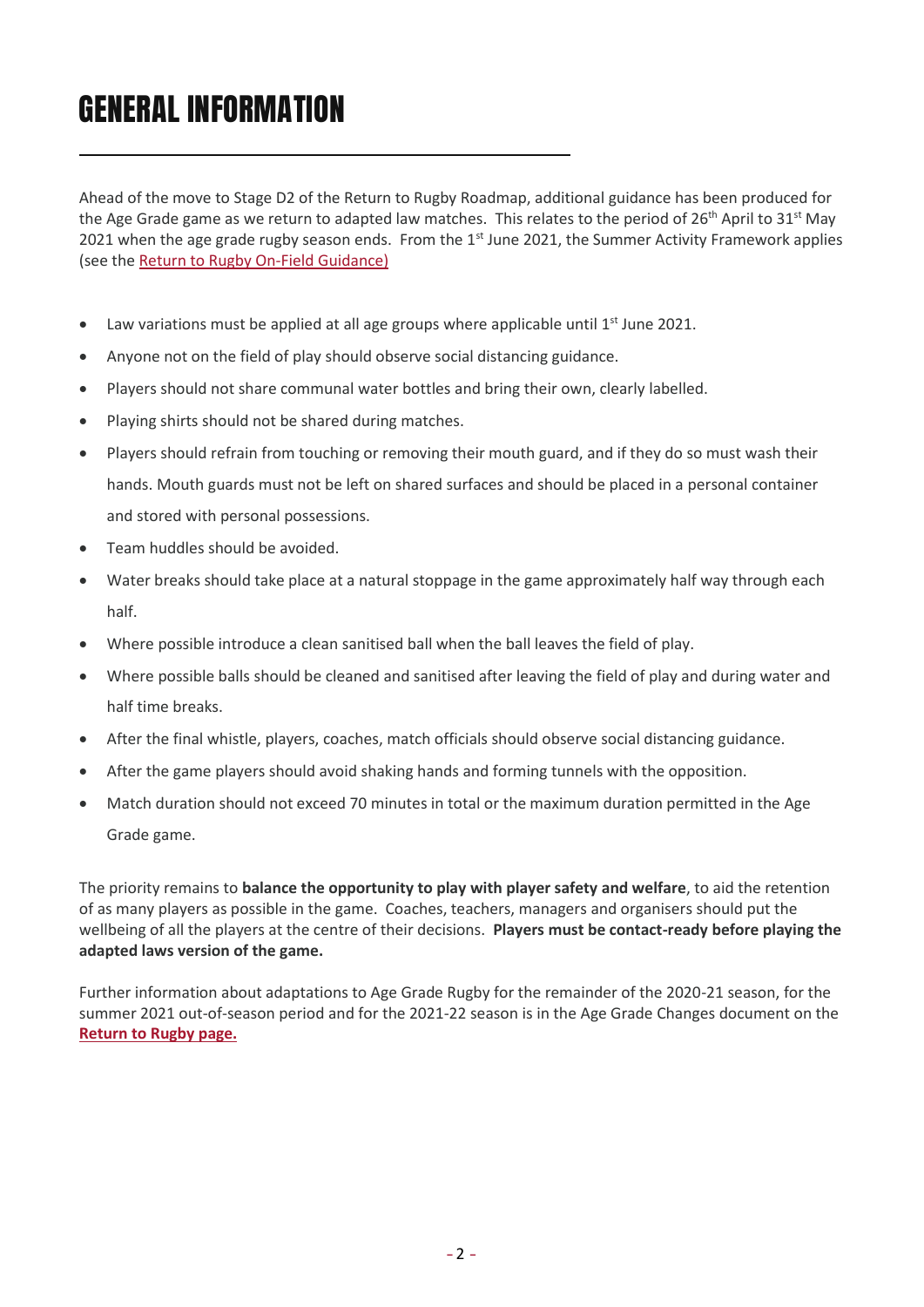## GENERAL INFORMATION

Ahead of the move to Stage D2 of the Return to Rugby Roadmap, additional guidance has been produced for the Age Grade game as we return to adapted law matches. This relates to the period of 26<sup>th</sup> April to 31<sup>st</sup> May 2021 when the age grade rugby season ends. From the  $1<sup>st</sup>$  June 2021, the Summer Activity Framework applies (see th[e Return to Rugby On-Field Guidance\)](https://www.englandrugby.com/participation/running-your-club/coronavirus/return-to-rugby)

- $\bullet$  Law variations must be applied at all age groups where applicable until 1<sup>st</sup> June 2021.
- Anyone not on the field of play should observe social distancing guidance.
- Players should not share communal water bottles and bring their own, clearly labelled.
- Playing shirts should not be shared during matches.
- Players should refrain from touching or removing their mouth guard, and if they do so must wash their hands. Mouth guards must not be left on shared surfaces and should be placed in a personal container and stored with personal possessions.
- Team huddles should be avoided.
- Water breaks should take place at a natural stoppage in the game approximately half way through each half.
- Where possible introduce a clean sanitised ball when the ball leaves the field of play.
- Where possible balls should be cleaned and sanitised after leaving the field of play and during water and half time breaks.
- After the final whistle, players, coaches, match officials should observe social distancing guidance.
- After the game players should avoid shaking hands and forming tunnels with the opposition.
- Match duration should not exceed 70 minutes in total or the maximum duration permitted in the Age Grade game.

The priority remains to **balance the opportunity to play with player safety and welfare**, to aid the retention of as many players as possible in the game. Coaches, teachers, managers and organisers should put the wellbeing of all the players at the centre of their decisions. **Players must be contact-ready before playing the adapted laws version of the game.**

Further information about adaptations to Age Grade Rugby for the remainder of the 2020-21 season, for the summer 2021 out-of-season period and for the 2021-22 season is in the Age Grade Changes document on the **[Return to Rugby page.](https://www.englandrugby.com/participation/running-your-club/coronavirus/return-to-rugby)**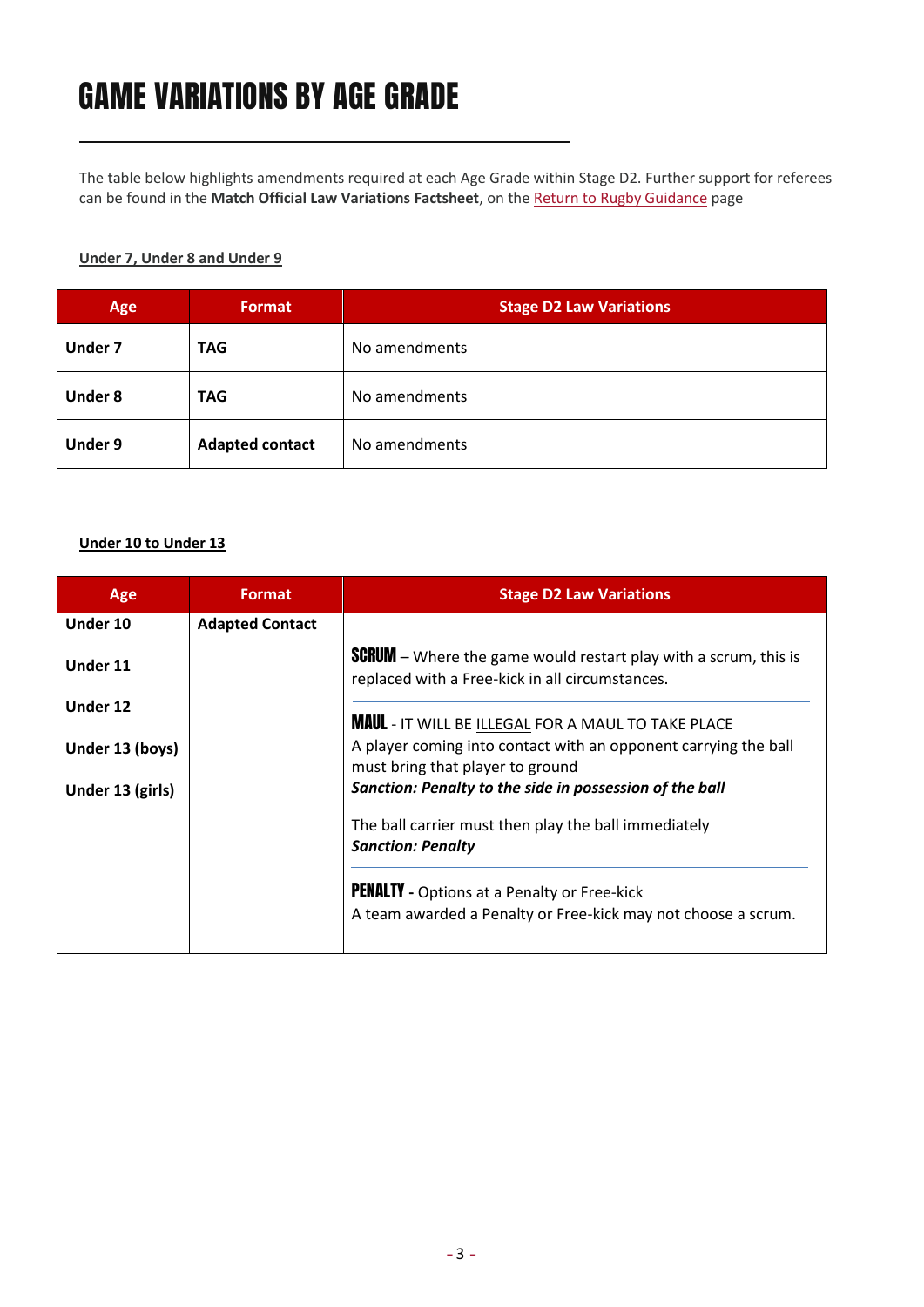## GAME VARIATIONS BY AGE GRADE

The table below highlights amendments required at each Age Grade within Stage D2. Further support for referees can be found in the **Match Official Law Variations Factsheet**, on the [Return to Rugby Guidance](https://www.englandrugby.com/participation/running-your-club/coronavirus/return-to-rugby) page

#### **Under 7, Under 8 and Under 9**

| Age            | Format                 | <b>Stage D2 Law Variations</b> |
|----------------|------------------------|--------------------------------|
| <b>Under 7</b> | <b>TAG</b>             | No amendments                  |
| <b>Under 8</b> | <b>TAG</b>             | No amendments                  |
| <b>Under 9</b> | <b>Adapted contact</b> | No amendments                  |

#### **Under 10 to Under 13**

| Age              | <b>Format</b>          | <b>Stage D2 Law Variations</b>                                                                                            |
|------------------|------------------------|---------------------------------------------------------------------------------------------------------------------------|
| Under 10         | <b>Adapted Contact</b> |                                                                                                                           |
| Under 11         |                        | <b>SCRUM</b> – Where the game would restart play with a scrum, this is<br>replaced with a Free-kick in all circumstances. |
| Under 12         |                        | <b>MAUL</b> - IT WILL BE ILLEGAL FOR A MAUL TO TAKE PLACE                                                                 |
| Under 13 (boys)  |                        | A player coming into contact with an opponent carrying the ball<br>must bring that player to ground                       |
| Under 13 (girls) |                        | Sanction: Penalty to the side in possession of the ball                                                                   |
|                  |                        | The ball carrier must then play the ball immediately<br><b>Sanction: Penalty</b>                                          |
|                  |                        | <b>PENALTY</b> - Options at a Penalty or Free-kick<br>A team awarded a Penalty or Free-kick may not choose a scrum.       |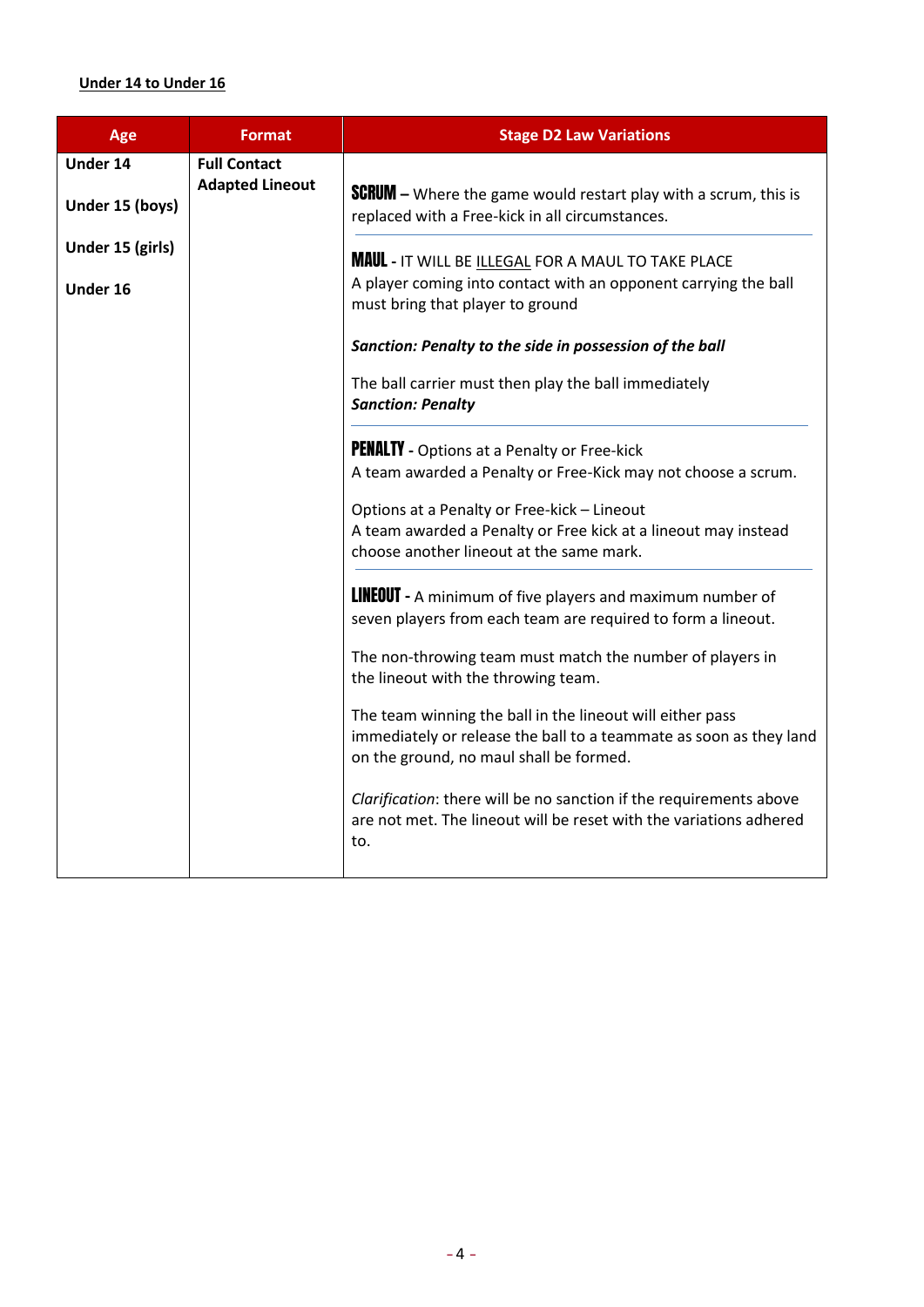### **Under 14 to Under 16**

| Age                                | <b>Format</b>                                 | <b>Stage D2 Law Variations</b>                                                                                                                                                                                                                                                                                                                                                                                                                                                            |
|------------------------------------|-----------------------------------------------|-------------------------------------------------------------------------------------------------------------------------------------------------------------------------------------------------------------------------------------------------------------------------------------------------------------------------------------------------------------------------------------------------------------------------------------------------------------------------------------------|
| <b>Under 14</b><br>Under 15 (boys) | <b>Full Contact</b><br><b>Adapted Lineout</b> | <b>SCRUM</b> – Where the game would restart play with a scrum, this is                                                                                                                                                                                                                                                                                                                                                                                                                    |
| Under 15 (girls)<br>Under 16       |                                               | replaced with a Free-kick in all circumstances.<br><b>MAUL</b> - IT WILL BE ILLEGAL FOR A MAUL TO TAKE PLACE<br>A player coming into contact with an opponent carrying the ball<br>must bring that player to ground<br>Sanction: Penalty to the side in possession of the ball<br>The ball carrier must then play the ball immediately<br><b>Sanction: Penalty</b><br><b>PENALTY</b> - Options at a Penalty or Free-kick<br>A team awarded a Penalty or Free-Kick may not choose a scrum. |
|                                    |                                               | Options at a Penalty or Free-kick - Lineout<br>A team awarded a Penalty or Free kick at a lineout may instead<br>choose another lineout at the same mark.                                                                                                                                                                                                                                                                                                                                 |
|                                    |                                               | <b>LINEOUT</b> - A minimum of five players and maximum number of<br>seven players from each team are required to form a lineout.<br>The non-throwing team must match the number of players in<br>the lineout with the throwing team.                                                                                                                                                                                                                                                      |
|                                    |                                               | The team winning the ball in the lineout will either pass<br>immediately or release the ball to a teammate as soon as they land<br>on the ground, no maul shall be formed.                                                                                                                                                                                                                                                                                                                |
|                                    |                                               | Clarification: there will be no sanction if the requirements above<br>are not met. The lineout will be reset with the variations adhered<br>to.                                                                                                                                                                                                                                                                                                                                           |